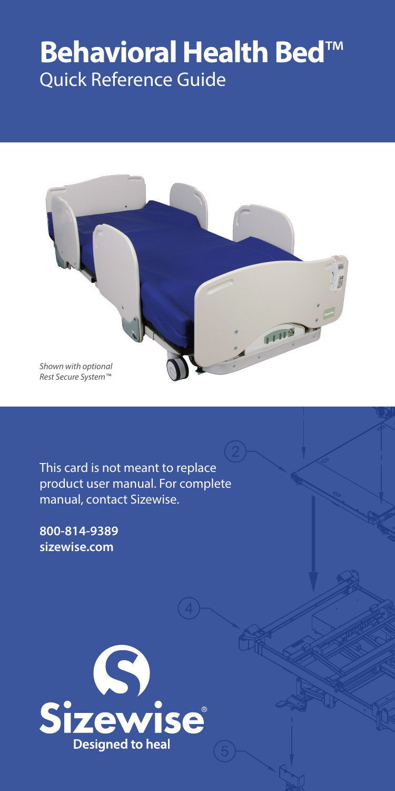# **Behavioral Health Bed**™ Quick Reference Guide



This card is not meant to replace product user manual. For complete manual, contact Sizewise.

**800-814-9389 sizewise.com**

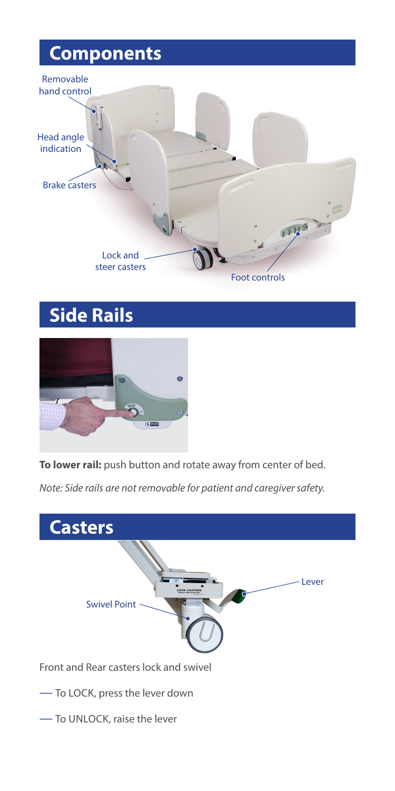# **Components**



# **Side Rails**



**To lower rail:** push button and rotate away from center of bed.

*Note: Side rails are not removable for patient and caregiver safety.*



— To UNLOCK, raise the lever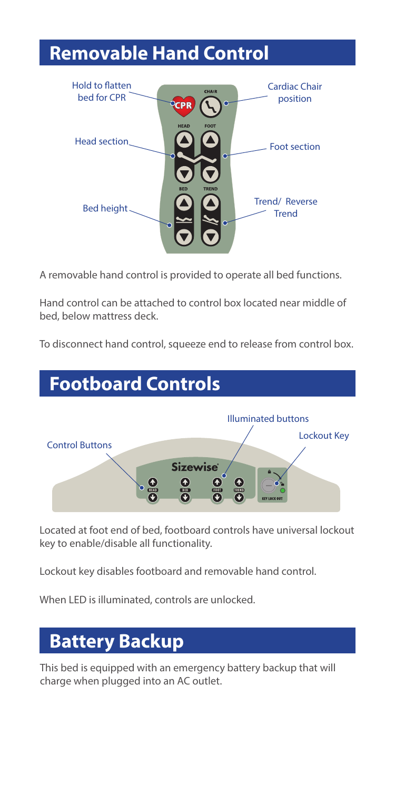# **Removable Hand Control**



A removable hand control is provided to operate all bed functions.

Hand control can be attached to control box located near middle of bed, below mattress deck.

To disconnect hand control, squeeze end to release from control box.

#### **Footboard Controls**



Located at foot end of bed, footboard controls have universal lockout key to enable/disable all functionality.

Lockout key disables footboard and removable hand control.

When LED is illuminated, controls are unlocked.

### **Battery Backup**

This bed is equipped with an emergency battery backup that will charge when plugged into an AC outlet.